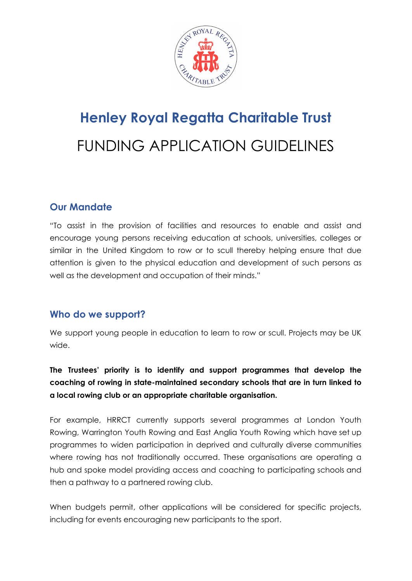

# **Henley Royal Regatta Charitable Trust** FUNDING APPLICATION GUIDELINES

# **Our Mandate**

"To assist in the provision of facilities and resources to enable and assist and encourage young persons receiving education at schools, universities, colleges or similar in the United Kingdom to row or to scull thereby helping ensure that due attention is given to the physical education and development of such persons as well as the development and occupation of their minds."

## **Who do we support?**

We support young people in education to learn to row or scull. Projects may be UK wide.

**The Trustees' priority is to identify and support programmes that develop the coaching of rowing in state-maintained secondary schools that are in turn linked to a local rowing club or an appropriate charitable organisation.**

For example, HRRCT currently supports several programmes at London Youth Rowing, Warrington Youth Rowing and East Anglia Youth Rowing which have set up programmes to widen participation in deprived and culturally diverse communities where rowing has not traditionally occurred. These organisations are operating a hub and spoke model providing access and coaching to participating schools and then a pathway to a partnered rowing club.

When budgets permit, other applications will be considered for specific projects, including for events encouraging new participants to the sport.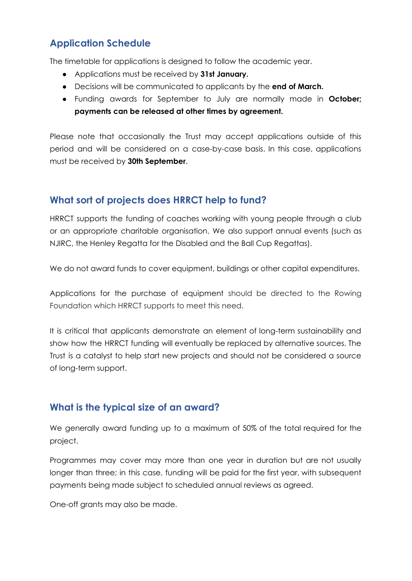# **Application Schedule**

The timetable for applications is designed to follow the academic year.

- Applications must be received by **31st January.**
- Decisions will be communicated to applicants by the **end of March.**
- Funding awards for September to July are normally made in **October; payments can be released at other times by agreement.**

Please note that occasionally the Trust may accept applications outside of this period and will be considered on a case-by-case basis. In this case, applications must be received by **30th September**.

# **What sort of projects does HRRCT help to fund?**

HRRCT supports the funding of coaches working with young people through a club or an appropriate charitable organisation. We also support annual events (such as NJIRC, the Henley Regatta for the Disabled and the Ball Cup Regattas).

We do not award funds to cover equipment, buildings or other capital expenditures.

Applications for the purchase of equipment should be directed to the Rowing Foundation which HRRCT supports to meet this need.

It is critical that applicants demonstrate an element of long-term sustainability and show how the HRRCT funding will eventually be replaced by alternative sources. The Trust is a catalyst to help start new projects and should not be considered a source of long-term support.

## **What is the typical size of an award?**

We generally award funding up to a maximum of 50% of the total required for the project.

Programmes may cover may more than one year in duration but are not usually longer than three; in this case, funding will be paid for the first year, with subsequent payments being made subject to scheduled annual reviews as agreed.

One-off grants may also be made.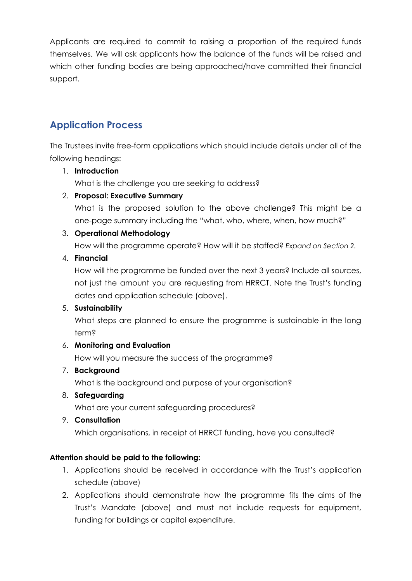Applicants are required to commit to raising a proportion of the required funds themselves. We will ask applicants how the balance of the funds will be raised and which other funding bodies are being approached/have committed their financial support.

# **Application Process**

The Trustees invite free-form applications which should include details under all of the following headings:

## 1. **Introduction**

What is the challenge you are seeking to address?

## 2. **Proposal: Executive Summary**

What is the proposed solution to the above challenge? This might be a one-page summary including the "what, who, where, when, how much?"

## 3. **Operational Methodology**

How will the programme operate? How will it be staffed? *Expand on Section 2.*

## 4. **Financial**

How will the programme be funded over the next 3 years? Include all sources, not just the amount you are requesting from HRRCT. Note the Trust's funding dates and application schedule (above).

## 5. **Sustainability**

What steps are planned to ensure the programme is sustainable in the long term?

## 6. **Monitoring and Evaluation**

How will you measure the success of the programme?

## 7. **Background**

What is the background and purpose of your organisation?

## 8. **Safeguarding**

What are your current safeguarding procedures?

## 9. **Consultation**

Which organisations, in receipt of HRRCT funding, have you consulted?

## **Attention should be paid to the following:**

- 1. Applications should be received in accordance with the Trust's application schedule (above)
- 2. Applications should demonstrate how the programme fits the aims of the Trust's Mandate (above) and must not include requests for equipment, funding for buildings or capital expenditure.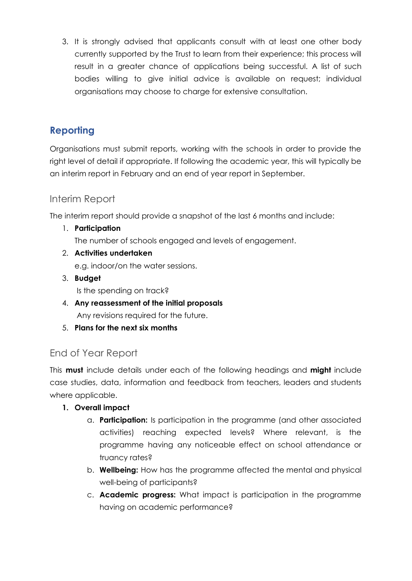3. It is strongly advised that applicants consult with at least one other body currently supported by the Trust to learn from their experience; this process will result in a greater chance of applications being successful. A list of such bodies willing to give initial advice is available on request; individual organisations may choose to charge for extensive consultation.

# **Reporting**

Organisations must submit reports, working with the schools in order to provide the right level of detail if appropriate. If following the academic year, this will typically be an interim report in February and an end of year report in September.

# Interim Report

The interim report should provide a snapshot of the last 6 months and include:

1. **Participation**

The number of schools engaged and levels of engagement.

- 2. **Activities undertaken** e.g. indoor/on the water sessions.
- 3. **Budget** Is the spending on track?
- 4. **Any reassessment of the initial proposals** Any revisions required for the future.
- 5. **Plans for the next six months**

## End of Year Report

This **must** include details under each of the following headings and **might** include case studies, data, information and feedback from teachers, leaders and students where applicable.

- **1. Overall impact**
	- a. **Participation:** Is participation in the programme (and other associated activities) reaching expected levels? Where relevant, is the programme having any noticeable effect on school attendance or truancy rates?
	- b. **Wellbeing:** How has the programme affected the mental and physical well-being of participants?
	- c. **Academic progress:** What impact is participation in the programme having on academic performance?